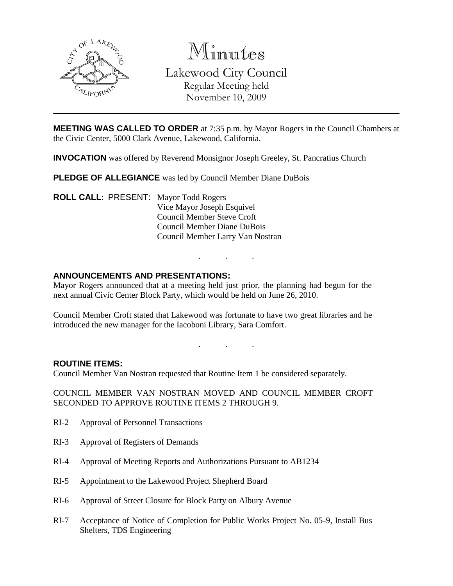

Minutes Lakewood City Council Regular Meeting held November 10, 2009

**MEETING WAS CALLED TO ORDER** at 7:35 p.m. by Mayor Rogers in the Council Chambers at the Civic Center, 5000 Clark Avenue, Lakewood, California.

**INVOCATION** was offered by Reverend Monsignor Joseph Greeley, St. Pancratius Church

**PLEDGE OF ALLEGIANCE** was led by Council Member Diane DuBois

**ROLL CALL**: PRESENT: Mayor Todd Rogers Vice Mayor Joseph Esquivel Council Member Steve Croft Council Member Diane DuBois Council Member Larry Van Nostran

### **ANNOUNCEMENTS AND PRESENTATIONS:**

Mayor Rogers announced that at a meeting held just prior, the planning had begun for the next annual Civic Center Block Party, which would be held on June 26, 2010.

Council Member Croft stated that Lakewood was fortunate to have two great libraries and he introduced the new manager for the Iacoboni Library, Sara Comfort.

. . .

. . .

#### **ROUTINE ITEMS:**

Council Member Van Nostran requested that Routine Item 1 be considered separately.

COUNCIL MEMBER VAN NOSTRAN MOVED AND COUNCIL MEMBER CROFT SECONDED TO APPROVE ROUTINE ITEMS 2 THROUGH 9.

- RI-2 Approval of Personnel Transactions
- RI-3 Approval of Registers of Demands
- RI-4 Approval of Meeting Reports and Authorizations Pursuant to AB1234
- RI-5 Appointment to the Lakewood Project Shepherd Board
- RI-6 Approval of Street Closure for Block Party on Albury Avenue
- RI-7 Acceptance of Notice of Completion for Public Works Project No. 05-9, Install Bus Shelters, TDS Engineering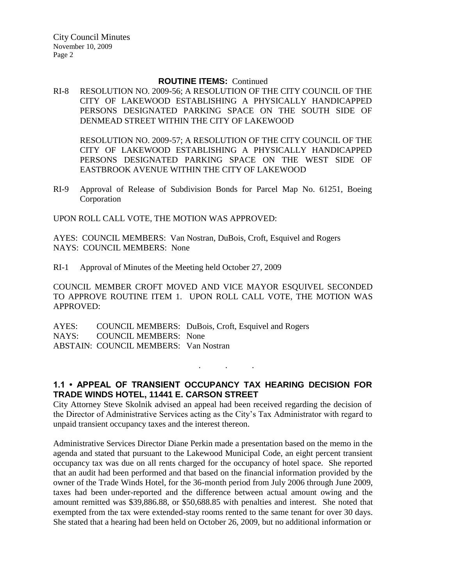#### **ROUTINE ITEMS:** Continued

RI-8 RESOLUTION NO. 2009-56; A RESOLUTION OF THE CITY COUNCIL OF THE CITY OF LAKEWOOD ESTABLISHING A PHYSICALLY HANDICAPPED PERSONS DESIGNATED PARKING SPACE ON THE SOUTH SIDE OF DENMEAD STREET WITHIN THE CITY OF LAKEWOOD

RESOLUTION NO. 2009-57; A RESOLUTION OF THE CITY COUNCIL OF THE CITY OF LAKEWOOD ESTABLISHING A PHYSICALLY HANDICAPPED PERSONS DESIGNATED PARKING SPACE ON THE WEST SIDE OF EASTBROOK AVENUE WITHIN THE CITY OF LAKEWOOD

RI-9 Approval of Release of Subdivision Bonds for Parcel Map No. 61251, Boeing Corporation

UPON ROLL CALL VOTE, THE MOTION WAS APPROVED:

AYES: COUNCIL MEMBERS: Van Nostran, DuBois, Croft, Esquivel and Rogers NAYS: COUNCIL MEMBERS: None

RI-1 Approval of Minutes of the Meeting held October 27, 2009

COUNCIL MEMBER CROFT MOVED AND VICE MAYOR ESQUIVEL SECONDED TO APPROVE ROUTINE ITEM 1. UPON ROLL CALL VOTE, THE MOTION WAS APPROVED:

AYES: COUNCIL MEMBERS: DuBois, Croft, Esquivel and Rogers NAYS: COUNCIL MEMBERS: None ABSTAIN: COUNCIL MEMBERS: Van Nostran

# **1.1 • APPEAL OF TRANSIENT OCCUPANCY TAX HEARING DECISION FOR TRADE WINDS HOTEL, 11441 E. CARSON STREET**

. . .

City Attorney Steve Skolnik advised an appeal had been received regarding the decision of the Director of Administrative Services acting as the City's Tax Administrator with regard to unpaid transient occupancy taxes and the interest thereon.

Administrative Services Director Diane Perkin made a presentation based on the memo in the agenda and stated that pursuant to the Lakewood Municipal Code, an eight percent transient occupancy tax was due on all rents charged for the occupancy of hotel space. She reported that an audit had been performed and that based on the financial information provided by the owner of the Trade Winds Hotel, for the 36-month period from July 2006 through June 2009, taxes had been under-reported and the difference between actual amount owing and the amount remitted was \$39,886.88, or \$50,688.85 with penalties and interest. She noted that exempted from the tax were extended-stay rooms rented to the same tenant for over 30 days. She stated that a hearing had been held on October 26, 2009, but no additional information or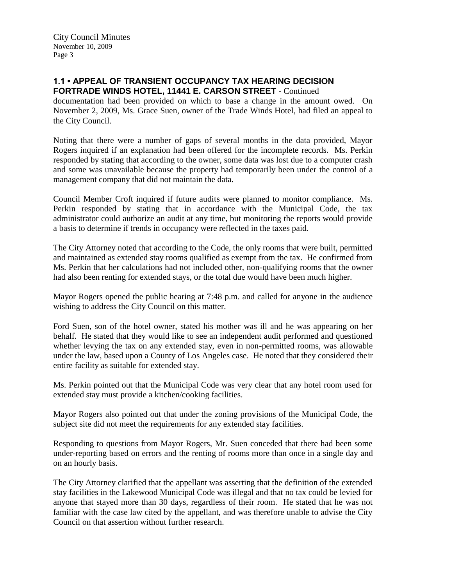City Council Minutes November 10, 2009 Page 3

### **1.1 • APPEAL OF TRANSIENT OCCUPANCY TAX HEARING DECISION FORTRADE WINDS HOTEL, 11441 E. CARSON STREET** - Continued

documentation had been provided on which to base a change in the amount owed. On November 2, 2009, Ms. Grace Suen, owner of the Trade Winds Hotel, had filed an appeal to the City Council.

Noting that there were a number of gaps of several months in the data provided, Mayor Rogers inquired if an explanation had been offered for the incomplete records. Ms. Perkin responded by stating that according to the owner, some data was lost due to a computer crash and some was unavailable because the property had temporarily been under the control of a management company that did not maintain the data.

Council Member Croft inquired if future audits were planned to monitor compliance. Ms. Perkin responded by stating that in accordance with the Municipal Code, the tax administrator could authorize an audit at any time, but monitoring the reports would provide a basis to determine if trends in occupancy were reflected in the taxes paid.

The City Attorney noted that according to the Code, the only rooms that were built, permitted and maintained as extended stay rooms qualified as exempt from the tax. He confirmed from Ms. Perkin that her calculations had not included other, non-qualifying rooms that the owner had also been renting for extended stays, or the total due would have been much higher.

Mayor Rogers opened the public hearing at 7:48 p.m. and called for anyone in the audience wishing to address the City Council on this matter.

Ford Suen, son of the hotel owner, stated his mother was ill and he was appearing on her behalf. He stated that they would like to see an independent audit performed and questioned whether levying the tax on any extended stay, even in non-permitted rooms, was allowable under the law, based upon a County of Los Angeles case. He noted that they considered their entire facility as suitable for extended stay.

Ms. Perkin pointed out that the Municipal Code was very clear that any hotel room used for extended stay must provide a kitchen/cooking facilities.

Mayor Rogers also pointed out that under the zoning provisions of the Municipal Code, the subject site did not meet the requirements for any extended stay facilities.

Responding to questions from Mayor Rogers, Mr. Suen conceded that there had been some under-reporting based on errors and the renting of rooms more than once in a single day and on an hourly basis.

The City Attorney clarified that the appellant was asserting that the definition of the extended stay facilities in the Lakewood Municipal Code was illegal and that no tax could be levied for anyone that stayed more than 30 days, regardless of their room. He stated that he was not familiar with the case law cited by the appellant, and was therefore unable to advise the City Council on that assertion without further research.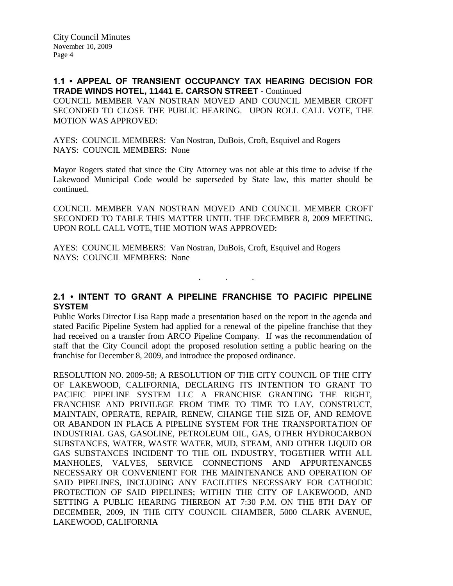**1.1 • APPEAL OF TRANSIENT OCCUPANCY TAX HEARING DECISION FOR TRADE WINDS HOTEL, 11441 E. CARSON STREET** - Continued COUNCIL MEMBER VAN NOSTRAN MOVED AND COUNCIL MEMBER CROFT SECONDED TO CLOSE THE PUBLIC HEARING. UPON ROLL CALL VOTE, THE MOTION WAS APPROVED:

AYES: COUNCIL MEMBERS: Van Nostran, DuBois, Croft, Esquivel and Rogers NAYS: COUNCIL MEMBERS: None

Mayor Rogers stated that since the City Attorney was not able at this time to advise if the Lakewood Municipal Code would be superseded by State law, this matter should be continued.

COUNCIL MEMBER VAN NOSTRAN MOVED AND COUNCIL MEMBER CROFT SECONDED TO TABLE THIS MATTER UNTIL THE DECEMBER 8, 2009 MEETING. UPON ROLL CALL VOTE, THE MOTION WAS APPROVED:

AYES: COUNCIL MEMBERS: Van Nostran, DuBois, Croft, Esquivel and Rogers NAYS: COUNCIL MEMBERS: None

**2.1 • INTENT TO GRANT A PIPELINE FRANCHISE TO PACIFIC PIPELINE SYSTEM**

. . .

Public Works Director Lisa Rapp made a presentation based on the report in the agenda and stated Pacific Pipeline System had applied for a renewal of the pipeline franchise that they had received on a transfer from ARCO Pipeline Company. If was the recommendation of staff that the City Council adopt the proposed resolution setting a public hearing on the franchise for December 8, 2009, and introduce the proposed ordinance.

RESOLUTION NO. 2009-58; A RESOLUTION OF THE CITY COUNCIL OF THE CITY OF LAKEWOOD, CALIFORNIA, DECLARING ITS INTENTION TO GRANT TO PACIFIC PIPELINE SYSTEM LLC A FRANCHISE GRANTING THE RIGHT, FRANCHISE AND PRIVILEGE FROM TIME TO TIME TO LAY, CONSTRUCT, MAINTAIN, OPERATE, REPAIR, RENEW, CHANGE THE SIZE OF, AND REMOVE OR ABANDON IN PLACE A PIPELINE SYSTEM FOR THE TRANSPORTATION OF INDUSTRIAL GAS, GASOLINE, PETROLEUM OIL, GAS, OTHER HYDROCARBON SUBSTANCES, WATER, WASTE WATER, MUD, STEAM, AND OTHER LIQUID OR GAS SUBSTANCES INCIDENT TO THE OIL INDUSTRY, TOGETHER WITH ALL MANHOLES, VALVES, SERVICE CONNECTIONS AND APPURTENANCES NECESSARY OR CONVENIENT FOR THE MAINTENANCE AND OPERATION OF SAID PIPELINES, INCLUDING ANY FACILITIES NECESSARY FOR CATHODIC PROTECTION OF SAID PIPELINES; WITHIN THE CITY OF LAKEWOOD, AND SETTING A PUBLIC HEARING THEREON AT 7:30 P.M. ON THE 8TH DAY OF DECEMBER, 2009, IN THE CITY COUNCIL CHAMBER, 5000 CLARK AVENUE, LAKEWOOD, CALIFORNIA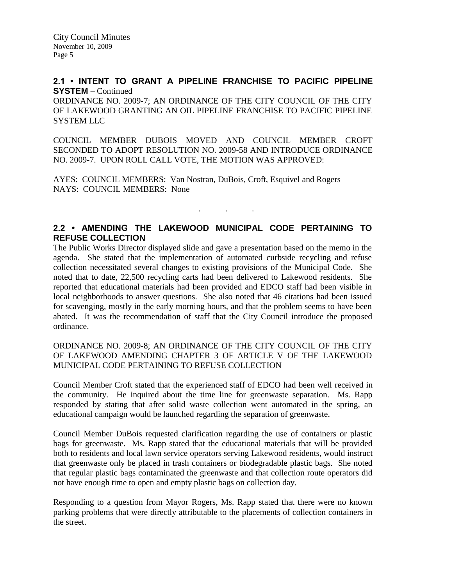City Council Minutes November 10, 2009 Page 5

## **2.1 • INTENT TO GRANT A PIPELINE FRANCHISE TO PACIFIC PIPELINE SYSTEM** – Continued

ORDINANCE NO. 2009-7; AN ORDINANCE OF THE CITY COUNCIL OF THE CITY OF LAKEWOOD GRANTING AN OIL PIPELINE FRANCHISE TO PACIFIC PIPELINE SYSTEM LLC

COUNCIL MEMBER DUBOIS MOVED AND COUNCIL MEMBER CROFT SECONDED TO ADOPT RESOLUTION NO. 2009-58 AND INTRODUCE ORDINANCE NO. 2009-7. UPON ROLL CALL VOTE, THE MOTION WAS APPROVED:

AYES: COUNCIL MEMBERS: Van Nostran, DuBois, Croft, Esquivel and Rogers NAYS: COUNCIL MEMBERS: None

# **2.2 • AMENDING THE LAKEWOOD MUNICIPAL CODE PERTAINING TO REFUSE COLLECTION**

. . .

The Public Works Director displayed slide and gave a presentation based on the memo in the agenda. She stated that the implementation of automated curbside recycling and refuse collection necessitated several changes to existing provisions of the Municipal Code. She noted that to date, 22,500 recycling carts had been delivered to Lakewood residents. She reported that educational materials had been provided and EDCO staff had been visible in local neighborhoods to answer questions. She also noted that 46 citations had been issued for scavenging, mostly in the early morning hours, and that the problem seems to have been abated. It was the recommendation of staff that the City Council introduce the proposed ordinance.

### ORDINANCE NO. 2009-8; AN ORDINANCE OF THE CITY COUNCIL OF THE CITY OF LAKEWOOD AMENDING CHAPTER 3 OF ARTICLE V OF THE LAKEWOOD MUNICIPAL CODE PERTAINING TO REFUSE COLLECTION

Council Member Croft stated that the experienced staff of EDCO had been well received in the community. He inquired about the time line for greenwaste separation. Ms. Rapp responded by stating that after solid waste collection went automated in the spring, an educational campaign would be launched regarding the separation of greenwaste.

Council Member DuBois requested clarification regarding the use of containers or plastic bags for greenwaste. Ms. Rapp stated that the educational materials that will be provided both to residents and local lawn service operators serving Lakewood residents, would instruct that greenwaste only be placed in trash containers or biodegradable plastic bags. She noted that regular plastic bags contaminated the greenwaste and that collection route operators did not have enough time to open and empty plastic bags on collection day.

Responding to a question from Mayor Rogers, Ms. Rapp stated that there were no known parking problems that were directly attributable to the placements of collection containers in the street.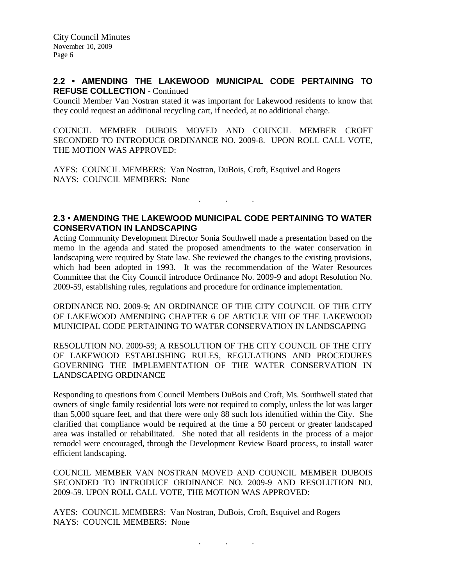## **2.2 • AMENDING THE LAKEWOOD MUNICIPAL CODE PERTAINING TO REFUSE COLLECTION** - Continued

Council Member Van Nostran stated it was important for Lakewood residents to know that they could request an additional recycling cart, if needed, at no additional charge.

COUNCIL MEMBER DUBOIS MOVED AND COUNCIL MEMBER CROFT SECONDED TO INTRODUCE ORDINANCE NO. 2009-8. UPON ROLL CALL VOTE, THE MOTION WAS APPROVED:

AYES: COUNCIL MEMBERS: Van Nostran, DuBois, Croft, Esquivel and Rogers NAYS: COUNCIL MEMBERS: None

## **2.3 • AMENDING THE LAKEWOOD MUNICIPAL CODE PERTAINING TO WATER CONSERVATION IN LANDSCAPING**

. . .

Acting Community Development Director Sonia Southwell made a presentation based on the memo in the agenda and stated the proposed amendments to the water conservation in landscaping were required by State law. She reviewed the changes to the existing provisions, which had been adopted in 1993. It was the recommendation of the Water Resources Committee that the City Council introduce Ordinance No. 2009-9 and adopt Resolution No. 2009-59, establishing rules, regulations and procedure for ordinance implementation.

ORDINANCE NO. 2009-9; AN ORDINANCE OF THE CITY COUNCIL OF THE CITY OF LAKEWOOD AMENDING CHAPTER 6 OF ARTICLE VIII OF THE LAKEWOOD MUNICIPAL CODE PERTAINING TO WATER CONSERVATION IN LANDSCAPING

RESOLUTION NO. 2009-59; A RESOLUTION OF THE CITY COUNCIL OF THE CITY OF LAKEWOOD ESTABLISHING RULES, REGULATIONS AND PROCEDURES GOVERNING THE IMPLEMENTATION OF THE WATER CONSERVATION IN LANDSCAPING ORDINANCE

Responding to questions from Council Members DuBois and Croft, Ms. Southwell stated that owners of single family residential lots were not required to comply, unless the lot was larger than 5,000 square feet, and that there were only 88 such lots identified within the City. She clarified that compliance would be required at the time a 50 percent or greater landscaped area was installed or rehabilitated. She noted that all residents in the process of a major remodel were encouraged, through the Development Review Board process, to install water efficient landscaping.

COUNCIL MEMBER VAN NOSTRAN MOVED AND COUNCIL MEMBER DUBOIS SECONDED TO INTRODUCE ORDINANCE NO. 2009-9 AND RESOLUTION NO. 2009-59. UPON ROLL CALL VOTE, THE MOTION WAS APPROVED:

AYES: COUNCIL MEMBERS: Van Nostran, DuBois, Croft, Esquivel and Rogers NAYS: COUNCIL MEMBERS: None

. . .